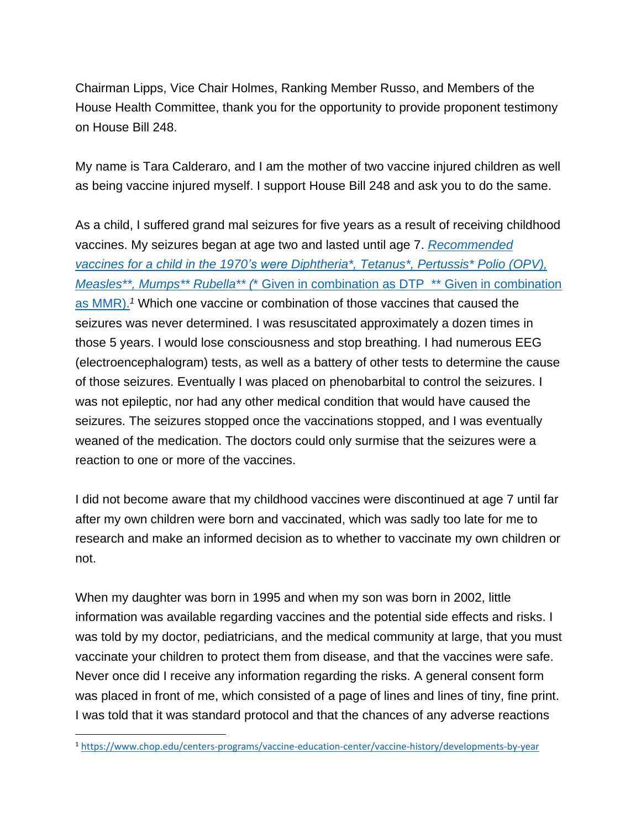Chairman Lipps, Vice Chair Holmes, Ranking Member Russo, and Members of the House Health Committee, thank you for the opportunity to provide proponent testimony on House Bill 248.

My name is Tara Calderaro, and I am the mother of two vaccine injured children as well as being vaccine injured myself. I support House Bill 248 and ask you to do the same.

As a child, I suffered grand mal seizures for five years as a result of receiving childhood vaccines. My seizures began at age two and lasted until age 7. *[Recommended](https://www.chop.edu/centers-programs/vaccine-education-center/vaccine-history/developments-by-year)  [vaccines for a child in the 1970's were Diphtheria\\*, Tetanus\\*, Pertussis\\*](https://www.chop.edu/centers-programs/vaccine-education-center/vaccine-history/developments-by-year) Polio (OPV), Measles\*\*, Mumps\*\* Rubella\*\* (*[\\* Given in combination as DTP \\*\\* Given in combination](https://www.chop.edu/centers-programs/vaccine-education-center/vaccine-history/developments-by-year)  [as MMR\).](https://www.chop.edu/centers-programs/vaccine-education-center/vaccine-history/developments-by-year) *<sup>1</sup>* Which one vaccine or combination of those vaccines that caused the seizures was never determined. I was resuscitated approximately a dozen times in those 5 years. I would lose consciousness and stop breathing. I had numerous EEG (electroencephalogram) tests, as well as a battery of other tests to determine the cause of those seizures. Eventually I was placed on phenobarbital to control the seizures. I was not epileptic, nor had any other medical condition that would have caused the seizures. The seizures stopped once the vaccinations stopped, and I was eventually weaned of the medication. The doctors could only surmise that the seizures were a reaction to one or more of the vaccines.

I did not become aware that my childhood vaccines were discontinued at age 7 until far after my own children were born and vaccinated, which was sadly too late for me to research and make an informed decision as to whether to vaccinate my own children or not.

When my daughter was born in 1995 and when my son was born in 2002, little information was available regarding vaccines and the potential side effects and risks. I was told by my doctor, pediatricians, and the medical community at large, that you must vaccinate your children to protect them from disease, and that the vaccines were safe. Never once did I receive any information regarding the risks. A general consent form was placed in front of me, which consisted of a page of lines and lines of tiny, fine print. I was told that it was standard protocol and that the chances of any adverse reactions

<sup>1</sup> <https://www.chop.edu/centers-programs/vaccine-education-center/vaccine-history/developments-by-year>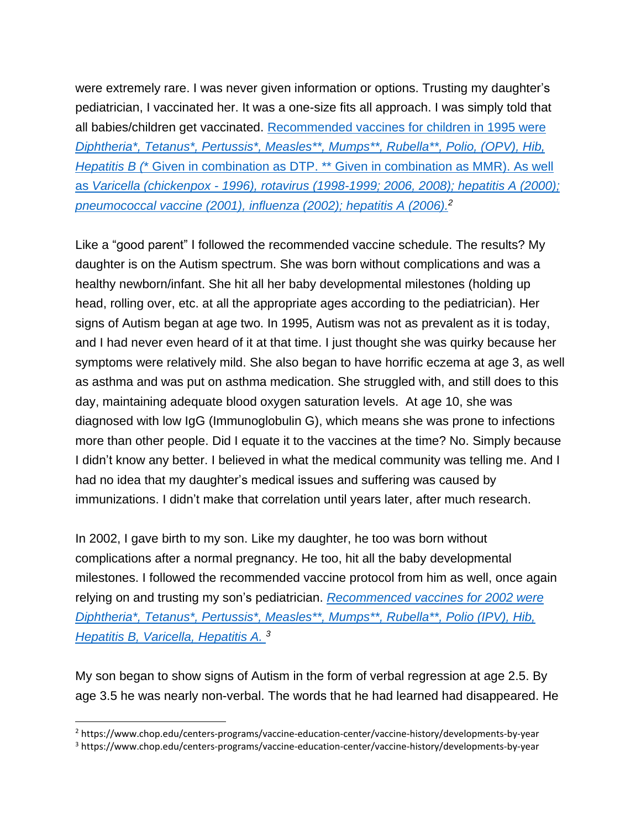were extremely rare. I was never given information or options. Trusting my daughter's pediatrician, I vaccinated her. It was a one-size fits all approach. I was simply told that all babies/children get vaccinated. Recommended [vaccines for children in 1995](https://www.chop.edu/centers-programs/vaccine-education-center/vaccine-history/developments-by-year) were *[Diphtheria\\*, Tetanus\\*, Pertussis\\*,](https://www.chop.edu/centers-programs/vaccine-education-center/vaccine-history/developments-by-year) Measles\*\*, Mumps\*\*, Rubella\*\*, Polio, (OPV), Hib, Hepatitis B (*[\\* Given in combination as DTP. \\*\\* Given in combination as MMR\). As well](https://www.chop.edu/centers-programs/vaccine-education-center/vaccine-history/developments-by-year)  as *Varicella (chickenpox - [1996\), rotavirus \(1998-1999; 2006, 2008\); hepatitis A \(2000\);](https://www.chop.edu/centers-programs/vaccine-education-center/vaccine-history/developments-by-year)  [pneumococcal vaccine \(2001\), influenza \(2002\); hepatitis A \(2006\).](https://www.chop.edu/centers-programs/vaccine-education-center/vaccine-history/developments-by-year) 2*

Like a "good parent" I followed the recommended vaccine schedule. The results? My daughter is on the Autism spectrum. She was born without complications and was a healthy newborn/infant. She hit all her baby developmental milestones (holding up head, rolling over, etc. at all the appropriate ages according to the pediatrician). Her signs of Autism began at age two. In 1995, Autism was not as prevalent as it is today, and I had never even heard of it at that time. I just thought she was quirky because her symptoms were relatively mild. She also began to have horrific eczema at age 3, as well as asthma and was put on asthma medication. She struggled with, and still does to this day, maintaining adequate blood oxygen saturation levels. At age 10, she was diagnosed with low IgG (Immunoglobulin G), which means she was prone to infections more than other people. Did I equate it to the vaccines at the time? No. Simply because I didn't know any better. I believed in what the medical community was telling me. And I had no idea that my daughter's medical issues and suffering was caused by immunizations. I didn't make that correlation until years later, after much research.

In 2002, I gave birth to my son. Like my daughter, he too was born without complications after a normal pregnancy. He too, hit all the baby developmental milestones. I followed the recommended vaccine protocol from him as well, once again relying on and trusting my son's pediatrician. *[Recommenced vaccines for 2002 were](https://www.chop.edu/centers-programs/vaccine-education-center/vaccine-history/developments-by-year)  [Diphtheria\\*, Tetanus\\*, Pertussis\\*, Measles\\*\\*, Mumps\\*\\*, Rubella\\*\\*, Polio \(IPV\), Hib,](https://www.chop.edu/centers-programs/vaccine-education-center/vaccine-history/developments-by-year)  [Hepatitis B, Varicella, Hepatitis A.](https://www.chop.edu/centers-programs/vaccine-education-center/vaccine-history/developments-by-year)  3*

My son began to show signs of Autism in the form of verbal regression at age 2.5. By age 3.5 he was nearly non-verbal. The words that he had learned had disappeared. He

<sup>2</sup> https://www.chop.edu/centers-programs/vaccine-education-center/vaccine-history/developments-by-year

<sup>3</sup> https://www.chop.edu/centers-programs/vaccine-education-center/vaccine-history/developments-by-year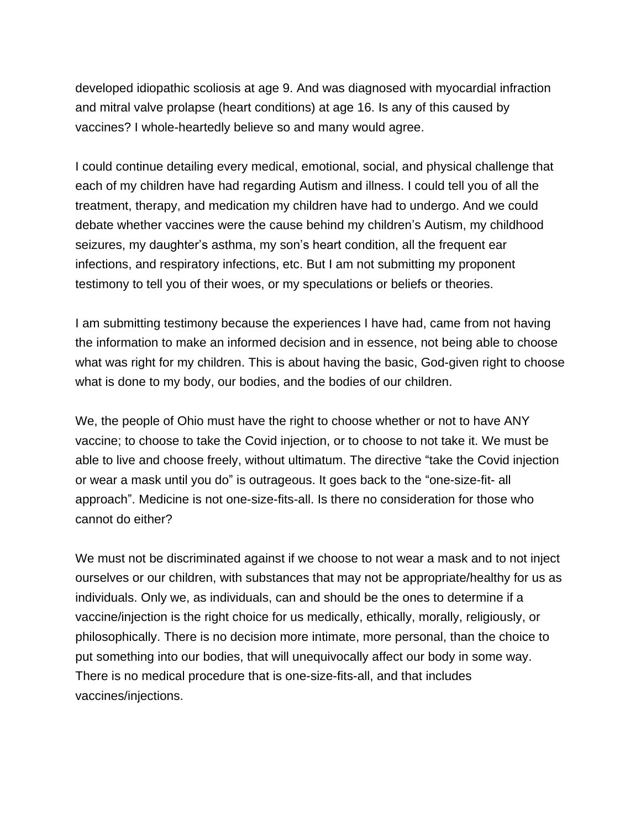developed idiopathic scoliosis at age 9. And was diagnosed with myocardial infraction and mitral valve prolapse (heart conditions) at age 16. Is any of this caused by vaccines? I whole-heartedly believe so and many would agree.

I could continue detailing every medical, emotional, social, and physical challenge that each of my children have had regarding Autism and illness. I could tell you of all the treatment, therapy, and medication my children have had to undergo. And we could debate whether vaccines were the cause behind my children's Autism, my childhood seizures, my daughter's asthma, my son's heart condition, all the frequent ear infections, and respiratory infections, etc. But I am not submitting my proponent testimony to tell you of their woes, or my speculations or beliefs or theories.

I am submitting testimony because the experiences I have had, came from not having the information to make an informed decision and in essence, not being able to choose what was right for my children. This is about having the basic, God-given right to choose what is done to my body, our bodies, and the bodies of our children.

We, the people of Ohio must have the right to choose whether or not to have ANY vaccine; to choose to take the Covid injection, or to choose to not take it. We must be able to live and choose freely, without ultimatum. The directive "take the Covid injection or wear a mask until you do" is outrageous. It goes back to the "one-size-fit- all approach". Medicine is not one-size-fits-all. Is there no consideration for those who cannot do either?

We must not be discriminated against if we choose to not wear a mask and to not inject ourselves or our children, with substances that may not be appropriate/healthy for us as individuals. Only we, as individuals, can and should be the ones to determine if a vaccine/injection is the right choice for us medically, ethically, morally, religiously, or philosophically. There is no decision more intimate, more personal, than the choice to put something into our bodies, that will unequivocally affect our body in some way. There is no medical procedure that is one-size-fits-all, and that includes vaccines/injections.